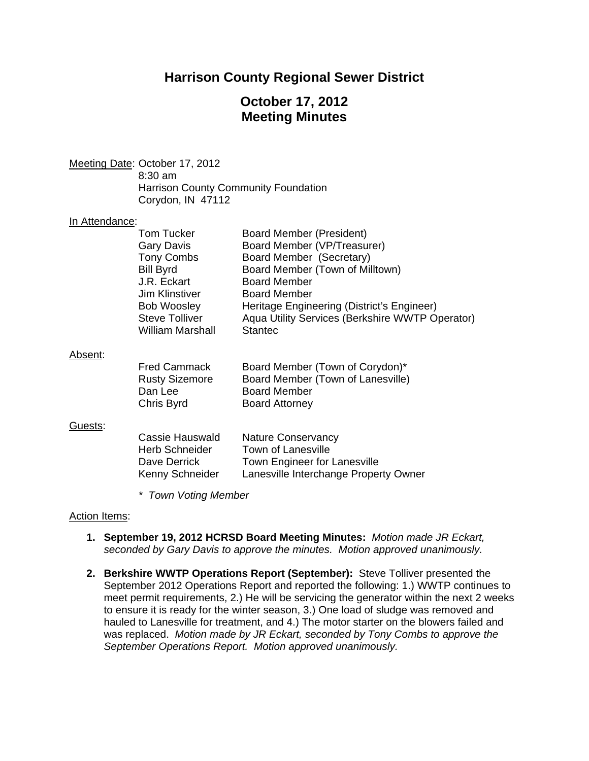## **Harrison County Regional Sewer District**

# **October 17, 2012 Meeting Minutes**

Meeting Date: October 17, 2012 8:30 am

 Harrison County Community Foundation Corydon, IN 47112

#### In Attendance:

| <b>Tom Tucker</b>       | Board Member (President)                        |
|-------------------------|-------------------------------------------------|
| <b>Gary Davis</b>       | Board Member (VP/Treasurer)                     |
| <b>Tony Combs</b>       | Board Member (Secretary)                        |
| <b>Bill Byrd</b>        | Board Member (Town of Milltown)                 |
| J.R. Eckart             | <b>Board Member</b>                             |
| Jim Klinstiver          | <b>Board Member</b>                             |
| <b>Bob Woosley</b>      | Heritage Engineering (District's Engineer)      |
| <b>Steve Tolliver</b>   | Aqua Utility Services (Berkshire WWTP Operator) |
| <b>William Marshall</b> | <b>Stantec</b>                                  |
|                         |                                                 |

#### Absent:

| <b>Fred Cammack</b>   | Board Member (Town of Corydon)*   |
|-----------------------|-----------------------------------|
| <b>Rusty Sizemore</b> | Board Member (Town of Lanesville) |
| Dan Lee               | <b>Board Member</b>               |
| Chris Byrd            | <b>Board Attorney</b>             |

#### Guests:

| Cassie Hauswald       | <b>Nature Conservancy</b>             |
|-----------------------|---------------------------------------|
| <b>Herb Schneider</b> | Town of Lanesville                    |
| Dave Derrick          | Town Engineer for Lanesville          |
| Kenny Schneider       | Lanesville Interchange Property Owner |

*\* Town Voting Member* 

## Action Items:

- **1. September 19, 2012 HCRSD Board Meeting Minutes:** *Motion made JR Eckart, seconded by Gary Davis to approve the minutes. Motion approved unanimously.*
- **2. Berkshire WWTP Operations Report (September):** Steve Tolliver presented the September 2012 Operations Report and reported the following: 1.) WWTP continues to meet permit requirements, 2.) He will be servicing the generator within the next 2 weeks to ensure it is ready for the winter season, 3.) One load of sludge was removed and hauled to Lanesville for treatment, and 4.) The motor starter on the blowers failed and was replaced. *Motion made by JR Eckart, seconded by Tony Combs to approve the September Operations Report. Motion approved unanimously.*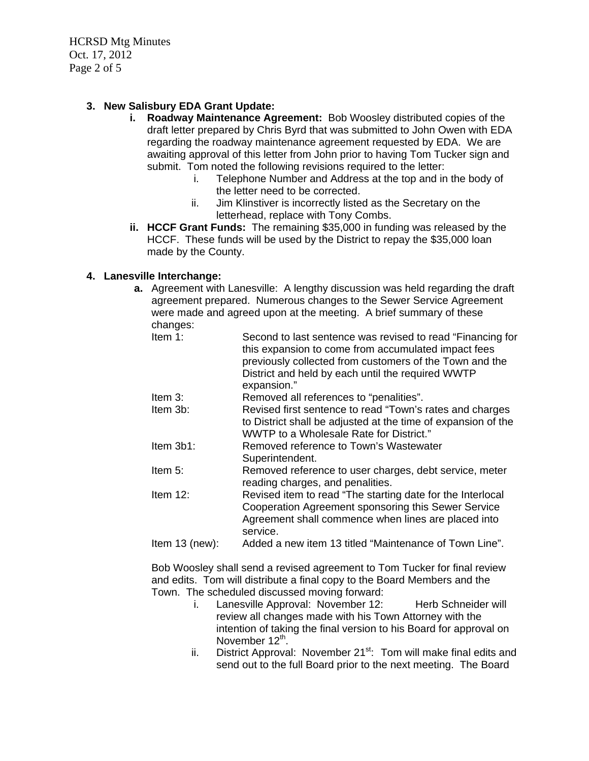HCRSD Mtg Minutes Oct. 17, 2012 Page 2 of 5

## **3. New Salisbury EDA Grant Update:**

- **i. Roadway Maintenance Agreement:** Bob Woosley distributed copies of the draft letter prepared by Chris Byrd that was submitted to John Owen with EDA regarding the roadway maintenance agreement requested by EDA. We are awaiting approval of this letter from John prior to having Tom Tucker sign and submit. Tom noted the following revisions required to the letter:
	- i. Telephone Number and Address at the top and in the body of the letter need to be corrected.
	- ii. Jim Klinstiver is incorrectly listed as the Secretary on the letterhead, replace with Tony Combs.
- **ii. HCCF Grant Funds:** The remaining \$35,000 in funding was released by the HCCF. These funds will be used by the District to repay the \$35,000 loan made by the County.

## **4. Lanesville Interchange:**

- **a.** Agreement with Lanesville: A lengthy discussion was held regarding the draft agreement prepared. Numerous changes to the Sewer Service Agreement were made and agreed upon at the meeting. A brief summary of these changes:
	- Item 1: Second to last sentence was revised to read "Financing for this expansion to come from accumulated impact fees previously collected from customers of the Town and the District and held by each until the required WWTP expansion."
	- Item 3: Removed all references to "penalities".
	- Item 3b: Revised first sentence to read "Town's rates and charges to District shall be adjusted at the time of expansion of the WWTP to a Wholesale Rate for District."
	- Item 3b1: Removed reference to Town's Wastewater Superintendent.
	- Item 5: Removed reference to user charges, debt service, meter reading charges, and penalities.
	- Item 12: Revised item to read "The starting date for the Interlocal Cooperation Agreement sponsoring this Sewer Service Agreement shall commence when lines are placed into service.
	- Item 13 (new): Added a new item 13 titled "Maintenance of Town Line".

Bob Woosley shall send a revised agreement to Tom Tucker for final review and edits. Tom will distribute a final copy to the Board Members and the Town. The scheduled discussed moving forward:

- i. Lanesville Approval: November 12: Herb Schneider will review all changes made with his Town Attorney with the intention of taking the final version to his Board for approval on November  $12^{th}$ .
- ii. District Approval: November  $21^{st}$ : Tom will make final edits and send out to the full Board prior to the next meeting. The Board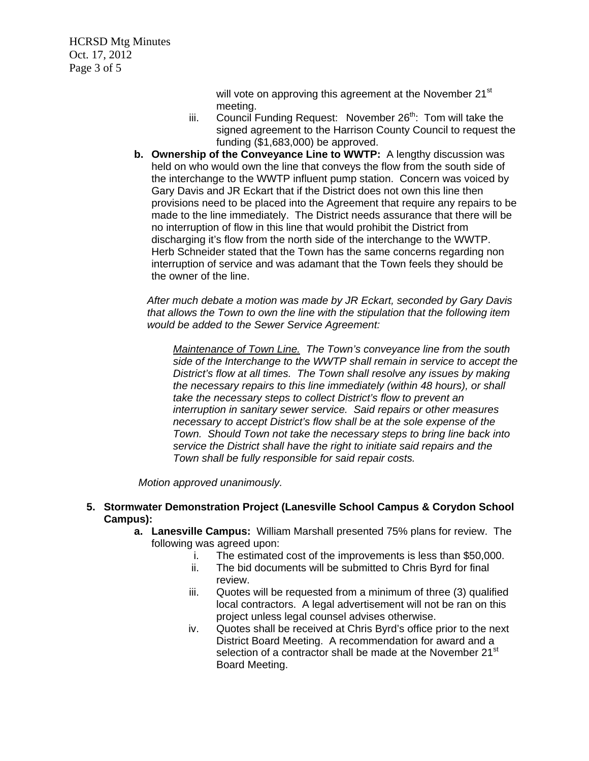HCRSD Mtg Minutes Oct. 17, 2012 Page 3 of 5

> will vote on approving this agreement at the November 21<sup>st</sup> meeting.

- iii. Council Funding Request: November 26<sup>th</sup>: Tom will take the signed agreement to the Harrison County Council to request the funding (\$1,683,000) be approved.
- **b. Ownership of the Conveyance Line to WWTP:** A lengthy discussion was held on who would own the line that conveys the flow from the south side of the interchange to the WWTP influent pump station. Concern was voiced by Gary Davis and JR Eckart that if the District does not own this line then provisions need to be placed into the Agreement that require any repairs to be made to the line immediately. The District needs assurance that there will be no interruption of flow in this line that would prohibit the District from discharging it's flow from the north side of the interchange to the WWTP. Herb Schneider stated that the Town has the same concerns regarding non interruption of service and was adamant that the Town feels they should be the owner of the line.

*After much debate a motion was made by JR Eckart, seconded by Gary Davis that allows the Town to own the line with the stipulation that the following item would be added to the Sewer Service Agreement:* 

 *Maintenance of Town Line. The Town's conveyance line from the south side of the Interchange to the WWTP shall remain in service to accept the District's flow at all times. The Town shall resolve any issues by making the necessary repairs to this line immediately (within 48 hours), or shall take the necessary steps to collect District's flow to prevent an interruption in sanitary sewer service. Said repairs or other measures necessary to accept District's flow shall be at the sole expense of the Town. Should Town not take the necessary steps to bring line back into service the District shall have the right to initiate said repairs and the Town shall be fully responsible for said repair costs.* 

 *Motion approved unanimously.* 

## **5. Stormwater Demonstration Project (Lanesville School Campus & Corydon School Campus):**

- **a. Lanesville Campus:** William Marshall presented 75% plans for review. The following was agreed upon:
	- i. The estimated cost of the improvements is less than \$50,000.
	- ii. The bid documents will be submitted to Chris Byrd for final review.
	- iii. Quotes will be requested from a minimum of three (3) qualified local contractors. A legal advertisement will not be ran on this project unless legal counsel advises otherwise.
	- iv. Quotes shall be received at Chris Byrd's office prior to the next District Board Meeting. A recommendation for award and a selection of a contractor shall be made at the November 21<sup>st</sup> Board Meeting.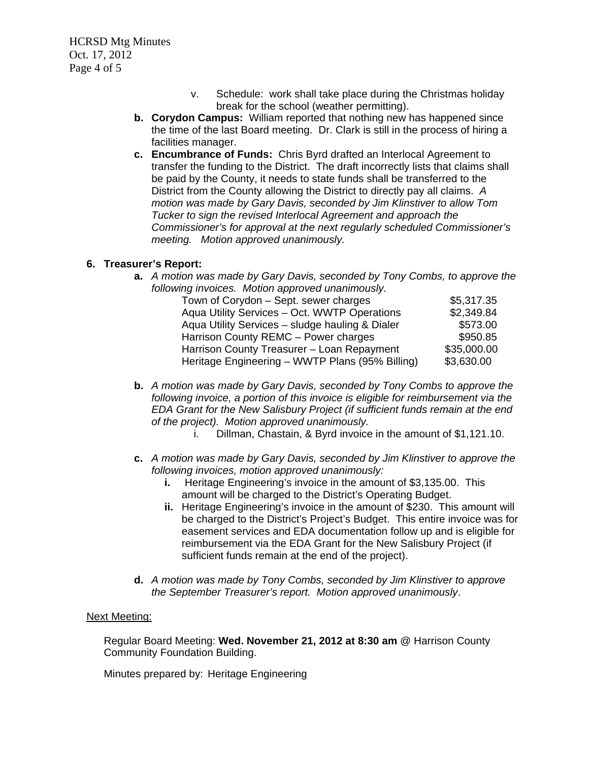HCRSD Mtg Minutes Oct. 17, 2012 Page 4 of 5

- v. Schedule: work shall take place during the Christmas holiday break for the school (weather permitting).
- **b. Corydon Campus:**William reported that nothing new has happened since the time of the last Board meeting. Dr. Clark is still in the process of hiring a facilities manager.
- **c. Encumbrance of Funds:**Chris Byrd drafted an Interlocal Agreement to transfer the funding to the District. The draft incorrectly lists that claims shall be paid by the County, it needs to state funds shall be transferred to the District from the County allowing the District to directly pay all claims. *A motion was made by Gary Davis, seconded by Jim Klinstiver to allow Tom Tucker to sign the revised Interlocal Agreement and approach the Commissioner's for approval at the next regularly scheduled Commissioner's meeting. Motion approved unanimously.*

## **6. Treasurer's Report:**

**a.** *A motion was made by Gary Davis, seconded by Tony Combs, to approve the following invoices. Motion approved unanimously.* 

| Town of Corydon - Sept. sewer charges           | \$5,317.35  |
|-------------------------------------------------|-------------|
| Aqua Utility Services - Oct. WWTP Operations    | \$2,349.84  |
| Aqua Utility Services - sludge hauling & Dialer | \$573.00    |
| Harrison County REMC - Power charges            | \$950.85    |
| Harrison County Treasurer - Loan Repayment      | \$35,000.00 |
| Heritage Engineering - WWTP Plans (95% Billing) | \$3,630.00  |

- **b.** *A motion was made by Gary Davis, seconded by Tony Combs to approve the following invoice, a portion of this invoice is eligible for reimbursement via the EDA Grant for the New Salisbury Project (if sufficient funds remain at the end of the project). Motion approved unanimously.* 
	- i. Dillman, Chastain, & Byrd invoice in the amount of \$1,121.10.
- **c.** *A motion was made by Gary Davis, seconded by Jim Klinstiver to approve the following invoices, motion approved unanimously:* 
	- **i.** Heritage Engineering's invoice in the amount of \$3,135.00. This amount will be charged to the District's Operating Budget.
	- **ii.** Heritage Engineering's invoice in the amount of \$230. This amount will be charged to the District's Project's Budget. This entire invoice was for easement services and EDA documentation follow up and is eligible for reimbursement via the EDA Grant for the New Salisbury Project (if sufficient funds remain at the end of the project).
- **d.** *A motion was made by Tony Combs, seconded by Jim Klinstiver to approve the September Treasurer's report. Motion approved unanimously*.

## Next Meeting:

Regular Board Meeting: **Wed. November 21, 2012 at 8:30 am** @ Harrison County Community Foundation Building.

Minutes prepared by: Heritage Engineering